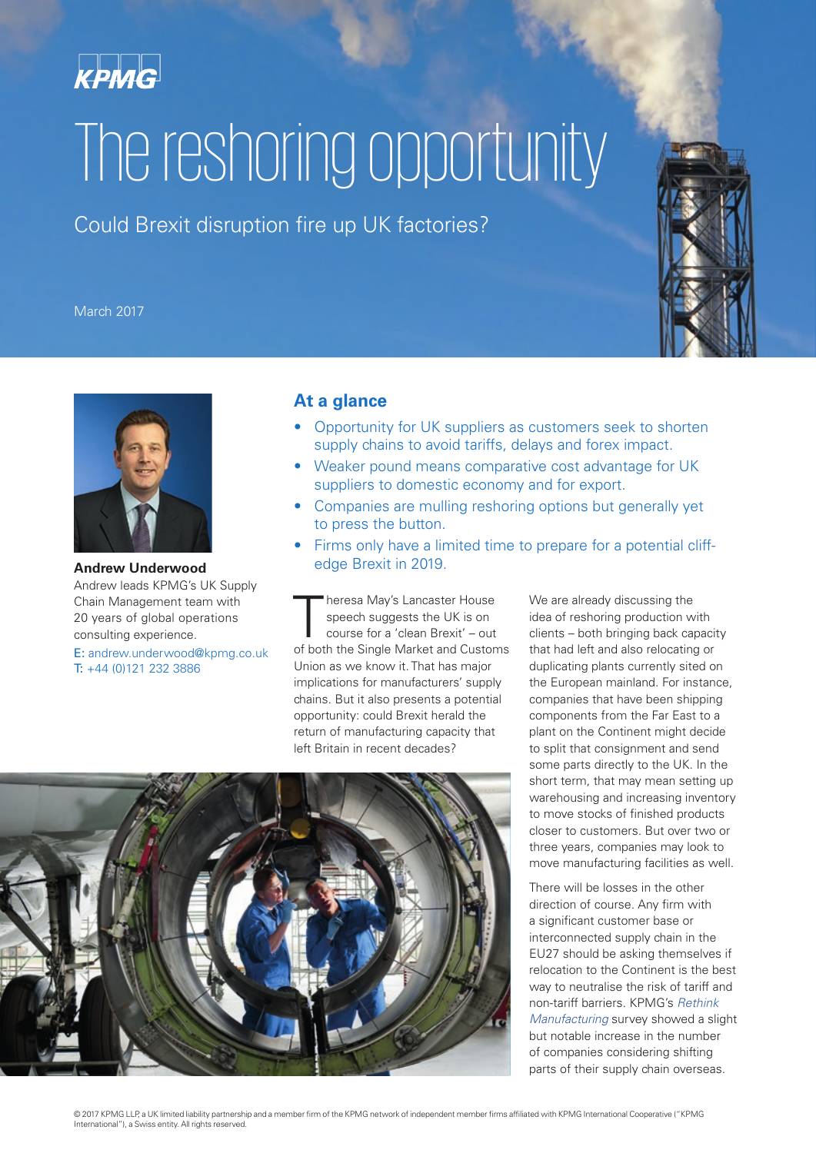

# The reshoring opportunity

Could Brexit disruption fire up UK factories?

#### March 2017





**Andrew Underwood** Andrew leads KPMG's UK Supply Chain Management team with 20 years of global operations consulting experience.

E: andrew.underwood@kpmg.co.uk T: +44 (0)121 232 3886

#### **At a glance**

- Opportunity for UK suppliers as customers seek to shorten supply chains to avoid tariffs, delays and forex impact.
- Weaker pound means comparative cost advantage for UK suppliers to domestic economy and for export.
- Companies are mulling reshoring options but generally yet to press the button.
- Firms only have a limited time to prepare for a potential cliffedge Brexit in 2019.

heresa May's Lancaster House speech suggests the UK is on course for a 'clean Brexit' – out of both the Single Market and Customs Union as we know it. That has major implications for manufacturers' supply chains. But it also presents a potential opportunity: could Brexit herald the return of manufacturing capacity that left Britain in recent decades?

We are already discussing the idea of reshoring production with clients – both bringing back capacity that had left and also relocating or duplicating plants currently sited on the European mainland. For instance, companies that have been shipping components from the Far East to a plant on the Continent might decide to split that consignment and send some parts directly to the UK. In the short term, that may mean setting up warehousing and increasing inventory to move stocks of finished products closer to customers. But over two or three years, companies may look to move manufacturing facilities as well.

There will be losses in the other direction of course. Any firm with a significant customer base or interconnected supply chain in the EU27 should be asking themselves if relocation to the Continent is the best way to neutralise the risk of tariff and non-tariff barriers. KPMG's *[Rethink](https://home.kpmg.com/uk/en/home/insights/2017/02/rethink-manufacturing-designing-a-future-industrial-strategy.html)  [Manufacturing](https://home.kpmg.com/uk/en/home/insights/2017/02/rethink-manufacturing-designing-a-future-industrial-strategy.html)* survey showed a slight but notable increase in the number of companies considering shifting parts of their supply chain overseas.

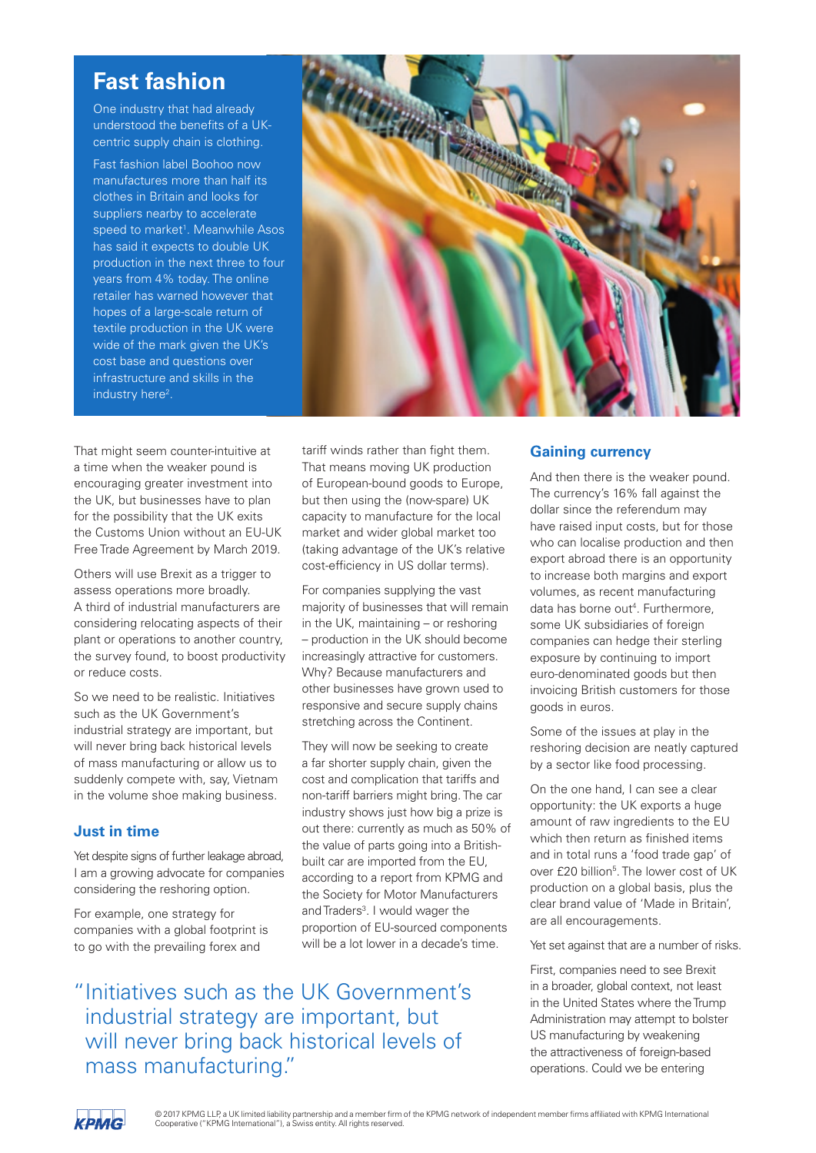### **Fast fashion**

One industry that had already understood the benefits of a UKcentric supply chain is clothing.

Fast fashion label Boohoo now manufactures more than half its clothes in Britain and looks for suppliers nearby to accelerate speed to market<sup>1</sup>. Meanwhile Asos has said it expects to double UK production in the next three to four years from 4% today. The online retailer has warned however that hopes of a large-scale return of textile production in the UK were wide of the mark given the UK's cost base and questions over infrastructure and skills in the industry here<sup>2</sup>.



That might seem counter-intuitive at a time when the weaker pound is encouraging greater investment into the UK, but businesses have to plan for the possibility that the UK exits the Customs Union without an EU-UK Free Trade Agreement by March 2019.

Others will use Brexit as a trigger to assess operations more broadly. A third of industrial manufacturers are considering relocating aspects of their plant or operations to another country, the survey found, to boost productivity or reduce costs.

So we need to be realistic. Initiatives such as the UK Government's industrial strategy are important, but will never bring back historical levels of mass manufacturing or allow us to suddenly compete with, say, Vietnam in the volume shoe making business.

#### **Just in time**

Yet despite signs of further leakage abroad, I am a growing advocate for companies considering the reshoring option.

For example, one strategy for companies with a global footprint is to go with the prevailing forex and

tariff winds rather than fight them. That means moving UK production of European-bound goods to Europe, but then using the (now-spare) UK capacity to manufacture for the local market and wider global market too (taking advantage of the UK's relative cost-efficiency in US dollar terms).

For companies supplying the vast majority of businesses that will remain in the UK, maintaining – or reshoring – production in the UK should become increasingly attractive for customers. Why? Because manufacturers and other businesses have grown used to responsive and secure supply chains stretching across the Continent.

They will now be seeking to create a far shorter supply chain, given the cost and complication that tariffs and non-tariff barriers might bring. The car industry shows just how big a prize is out there: currently as much as 50% of the value of parts going into a Britishbuilt car are imported from the EU, according to a report from KPMG and the Society for Motor Manufacturers and Traders<sup>3</sup>. I would wager the proportion of EU-sourced components will be a lot lower in a decade's time.

"Initiatives such as the UK Government's industrial strategy are important, but will never bring back historical levels of mass manufacturing."

#### **Gaining currency**

And then there is the weaker pound. The currency's 16% fall against the dollar since the referendum may have raised input costs, but for those who can localise production and then export abroad there is an opportunity to increase both margins and export volumes, as recent manufacturing data has borne out<sup>4</sup>. Furthermore, some UK subsidiaries of foreign companies can hedge their sterling exposure by continuing to import euro-denominated goods but then invoicing British customers for those goods in euros.

Some of the issues at play in the reshoring decision are neatly captured by a sector like food processing.

On the one hand, I can see a clear opportunity: the UK exports a huge amount of raw ingredients to the EU which then return as finished items and in total runs a 'food trade gap' of over £20 billion<sup>5</sup>. The lower cost of UK production on a global basis, plus the clear brand value of 'Made in Britain', are all encouragements.

Yet set against that are a number of risks.

First, companies need to see Brexit in a broader, global context, not least in the United States where the Trump Administration may attempt to bolster US manufacturing by weakening the attractiveness of foreign-based operations. Could we be entering